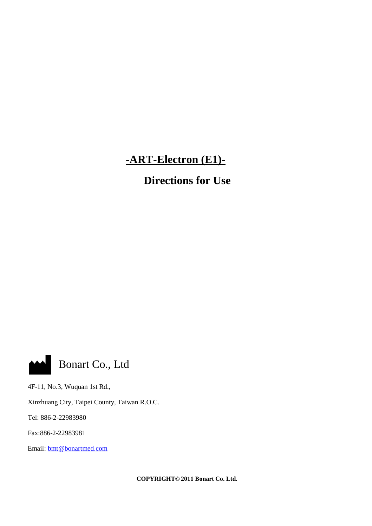# **-ART-Electron (E1)-**

**Directions for Use**



4F-11, No.3, Wuquan 1st Rd.,

Xinzhuang City, Taipei County, Taiwan R.O.C.

Tel: 886-2-22983980

Fax:886-2-22983981

Email: [bmt@bonartmed.com](mailto:bmt@bonartmed.com)

**COPYRIGHT© 2011 Bonart Co. Ltd.**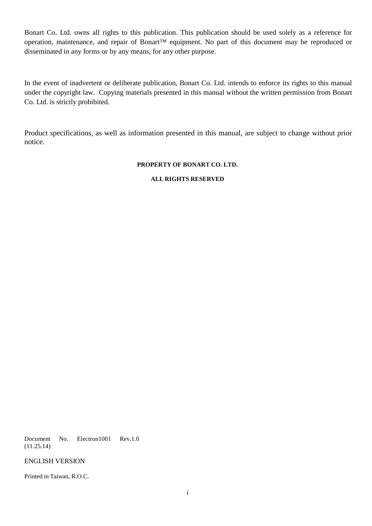Bonart Co. Ltd. owns all rights to this publication. This publication should be used solely as a reference for operation, maintenance, and repair of Bonart™ equipment. No part of this document may be reproduced or disseminated in any forms or by any means, for any other purpose.

In the event of inadvertent or deliberate publication, Bonart Co. Ltd. intends to enforce its rights to this manual under the copyright law. Copying materials presented in this manual without the written permission from Bonart Co. Ltd. is strictly prohibited.

Product specifications, as well as information presented in this manual, are subject to change without prior notice.

#### **PROPERTY OF BONART CO. LTD.**

#### **ALL RIGHTS RESERVED**

Document No. Electron1001 Rev.1.0 (11.25.14)

ENGLISH VERSION

Printed in Taiwan, R.O.C.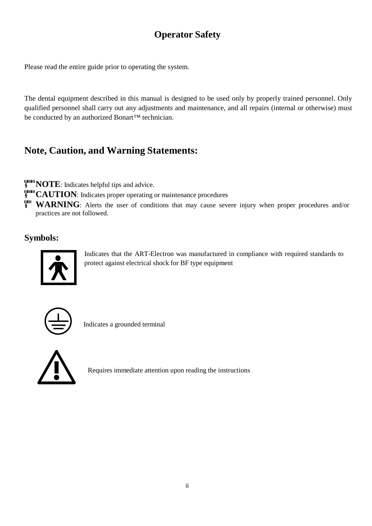# **Operator Safety**

Please read the entire guide prior to operating the system.

The dental equipment described in this manual is designed to be used only by properly trained personnel. Only qualified personnel shall carry out any adjustments and maintenance, and all repairs (internal or otherwise) must be conducted by an authorized Bonart™ technician.

## **Note, Caution, and Warning Statements:**

**NOTE:** Indicates helpful tips and advice.

**CAUTION**: Indicates proper operating or maintenance procedures

**WARNING**: Alerts the user of conditions that may cause severe injury when proper procedures and/or practices are not followed.

## **Symbols:**



Indicates that the ART-Electron was manufactured in compliance with required standards to protect against electrical shock for BF type equipment



Indicates a grounded terminal



⚠ Requires immediate attention upon reading the instructions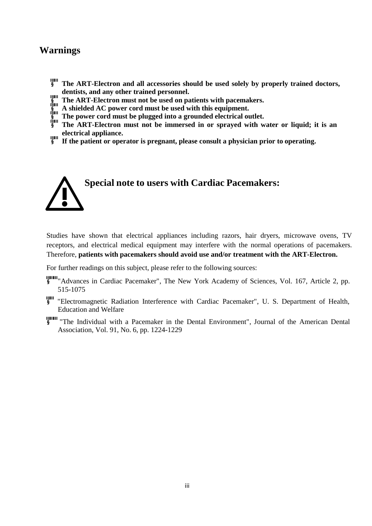## **Warnings**

- **The ART-Electron and all accessories should be used solely by properly trained doctors, dentists, and any other trained personnel.**
- **The ART-Electron must not be used on patients with pacemakers.**
- **A shielded AC power cord must be used with this equipment.**
- **The power cord must be plugged into a grounded electrical outlet.**
- **The ART-Electron must not be immersed in or sprayed with water or liquid; it is an electrical appliance.**
- **If the patient or operator is pregnant, please consult a physician prior to operating.**



Studies have shown that electrical appliances including razors, hair dryers, microwave ovens, TV receptors, and electrical medical equipment may interfere with the normal operations of pacemakers. Therefore, **patients with pacemakers should avoid use and/or treatment with the ART-Electron.**

For further readings on this subject, please refer to the following sources:

- "Advances in Cardiac Pacemaker", The New York Academy of Sciences, Vol. 167, Article 2, pp. 515-1075
- "Electromagnetic Radiation Interference with Cardiac Pacemaker", U. S. Department of Health, Education and Welfare
- **THE THE INDIVIDUAL WITH A PACEMARER IN the Dental Environment", Journal of the American Dental** Association, Vol. 91, No. 6, pp. 1224-1229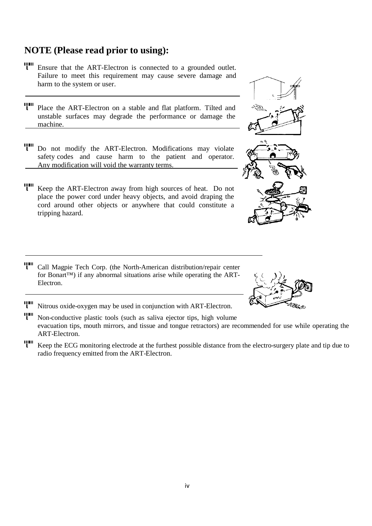# **NOTE (Please read prior to using):**

- Ensure that the ART-Electron is connected to <sup>a</sup> grounded outlet. Failure to meet this requirement may cause severe damage and harm to the system or user.
- Place the ART-Electron on a stable and flat platform. Tilted and unstable surfaces may degrade the performance or damage the machine.
- Do not modify the ART-Electron. Modifications may violate safety codes and cause harm to the patient and operator. Any modification will void the warranty terms.
- Keep the ART-Electron away from high sources of heat. Do not place the power cord under heavy objects, and avoid draping the cord around other objects or anywhere that could constitute a tripping hazard.
- Call Magpie Tech Corp. (the North-American distribution/repair center for Bonart™) if any abnormal situations arise while operating the ART-Electron.
- Nitrous oxide-oxygen may be used in conjunction with ART-Electron.
- Non-conductive plastic tools (such as saliva ejector tips, high volume evacuation tips, mouth mirrors, and tissue and tongue retractors) are recommended for use while operating the ART-Electron.
- **ITH** Keep the ECG monitoring electrode at the furthest possible distance from the electro-surgery plate and tip due to radio frequency emitted from the ART-Electron.



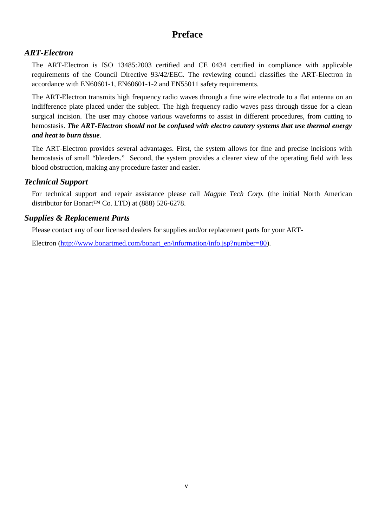## **Preface**

## *ART-Electron*

The ART-Electron is ISO 13485:2003 certified and CE 0434 certified in compliance with applicable requirements of the Council Directive 93/42/EEC. The reviewing council classifies the ART-Electron in accordance with EN60601-1, EN60601-1-2 and EN55011 safety requirements.

The ART-Electron transmits high frequency radio waves through a fine wire electrode to a flat antenna on an indifference plate placed under the subject. The high frequency radio waves pass through tissue for a clean surgical incision. The user may choose various waveforms to assist in different procedures, from cutting to hemostasis. *The ART-Electron should not be confused with electro cautery systems that use thermal energy and heat to burn tissue.*

The ART-Electron provides several advantages. First, the system allows for fine and precise incisions with hemostasis of small "bleeders." Second, the system provides a clearer view of the operating field with less blood obstruction, making any procedure faster and easier.

## *Technical Support*

For technical support and repair assistance please call *Magpie Tech Corp.* (the initial North American distributor for Bonart™ Co. LTD) at (888) 526-6278.

## *Supplies & Replacement Parts*

Please contact any of our licensed dealers for supplies and/or replacement parts for your ART-

Electron [\(http://www.bonartmed.com/bonart\\_en/information/info.jsp?number=80\)](http://www.bonartmed.com/bonart_en/information/info.jsp?number=80).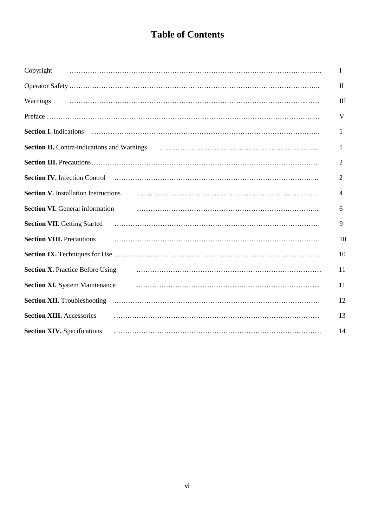# **Table of Contents**

| Copyright                                                                                                                                                                                                                  | I              |
|----------------------------------------------------------------------------------------------------------------------------------------------------------------------------------------------------------------------------|----------------|
|                                                                                                                                                                                                                            | $\mathbf H$    |
| Warnings                                                                                                                                                                                                                   | Ш              |
|                                                                                                                                                                                                                            | V              |
|                                                                                                                                                                                                                            | 1              |
| <b>Section II.</b> Contra-indications and Warnings <b>contrarios contrarios contrarios contra-</b> indications and Warnings <b>contrarios contrarios contrarios contrarios contrarios contrarios contrarios contrarios</b> | 1              |
|                                                                                                                                                                                                                            | 2              |
| <b>Section IV.</b> Infection Control                                                                                                                                                                                       | $\overline{2}$ |
| <b>Section V. Installation Instructions</b>                                                                                                                                                                                | 4              |
| <b>Section VI.</b> General information                                                                                                                                                                                     | 6              |
| <b>Section VII. Getting Started</b>                                                                                                                                                                                        | 9              |
| <b>Section VIII.</b> Precautions                                                                                                                                                                                           | 10             |
|                                                                                                                                                                                                                            | 10             |
| <b>Section X. Practice Before Using</b>                                                                                                                                                                                    | 11             |
| <b>Section XI.</b> System Maintenance                                                                                                                                                                                      | 11             |
| <b>Section XII.</b> Troubleshooting                                                                                                                                                                                        | 12             |
| <b>Section XIII.</b> Accessories                                                                                                                                                                                           | 13             |
| <b>Section XIV.</b> Specifications                                                                                                                                                                                         | 14             |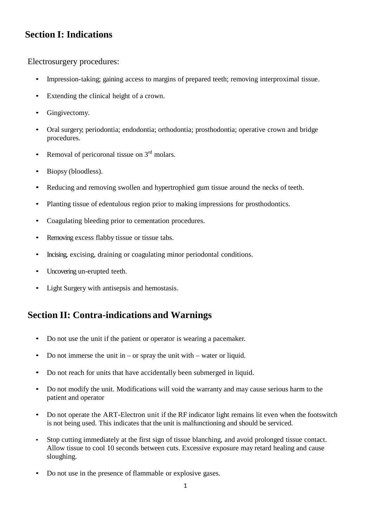## **Section I: Indications**

Electrosurgery procedures:

- Impression-taking; gaining access to margins of prepared teeth; removing interproximal tissue.
- Extending the clinical height of a crown.
- Gingivectomy.
- Oral surgery, periodontia; endodontia; orthodontia; prosthodontia; operative crown and bridge procedures.
- Removal of pericoronal tissue on  $3<sup>rd</sup>$  molars.
- Biopsy (bloodless).
- Reducing and removing swollen and hypertrophied gum tissue around the necks of teeth.
- Planting tissue of edentulous region prior to making impressions for prosthodontics.
- Coagulating bleeding prior to cementation procedures.
- Removing excess flabby tissue or tissue tabs.
- Incising, excising, draining or coagulating minor periodontal conditions.
- Uncovering un-erupted teeth.
- Light Surgery with antisepsis and hemostasis.

## **Section II: Contra-indications and Warnings**

- Do not use the unit if the patient or operator is wearing a pacemaker.
- Do not immerse the unit in or spray the unit with water or liquid.
- Do not reach for units that have accidentally been submerged in liquid.
- Do not modify the unit. Modifications will void the warranty and may cause serious harm to the patient and operator
- Do not operate the ART-Electron unit if the RF indicator light remains lit even when the footswitch is not being used. This indicates that the unit is malfunctioning and should be serviced.
- Stop cutting immediately at the first sign of tissue blanching, and avoid prolonged tissue contact. Allow tissue to cool 10 seconds between cuts. Excessive exposure may retard healing and cause sloughing.
- Do not use in the presence of flammable or explosive gases.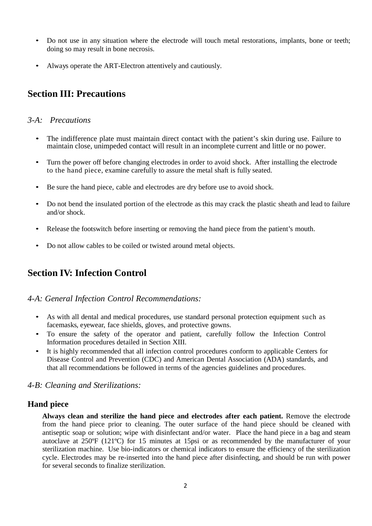- Do not use in any situation where the electrode will touch metal restorations, implants, bone or teeth; doing so may result in bone necrosis.
- Always operate the ART-Electron attentively and cautiously.

## **Section III: Precautions**

### *3-A: Precautions*

- The indifference plate must maintain direct contact with the patient's skin during use. Failure to maintain close, unimpeded contact will result in an incomplete current and little or no power.
- Turn the power off before changing electrodes in order to avoid shock. After installing the electrode to the hand piece, examine carefully to assure the metal shaft is fully seated.
- Be sure the hand piece, cable and electrodes are dry before use to avoid shock.
- Do not bend the insulated portion of the electrode as this may crack the plastic sheath and lead to failure and/or shock.
- Release the footswitch before inserting or removing the hand piece from the patient's mouth.
- Do not allow cables to be coiled or twisted around metal objects.

## **Section IV: Infection Control**

#### *4-A: General Infection Control Recommendations:*

- As with all dental and medical procedures, use standard personal protection equipment such as facemasks, eyewear, face shields, gloves, and protective gowns.
- To ensure the safety of the operator and patient, carefully follow the Infection Control Information procedures detailed in Section XIII.
- It is highly recommended that all infection control procedures conform to applicable Centers for Disease Control and Prevention (CDC) and American Dental Association (ADA) standards, and that all recommendations be followed in terms of the agencies guidelines and procedures.

#### *4-B: Cleaning and Sterilizations:*

#### **Hand piece**

**Always clean and sterilize the hand piece and electrodes after each patient.** Remove the electrode from the hand piece prior to cleaning. The outer surface of the hand piece should be cleaned with antiseptic soap or solution; wipe with disinfectant and/or water. Place the hand piece in a bag and steam autoclave at 250ºF (121ºC) for 15 minutes at 15psi or as recommended by the manufacturer of your sterilization machine. Use bio-indicators or chemical indicators to ensure the efficiency of the sterilization cycle. Electrodes may be re-inserted into the hand piece after disinfecting, and should be run with power for several seconds to finalize sterilization.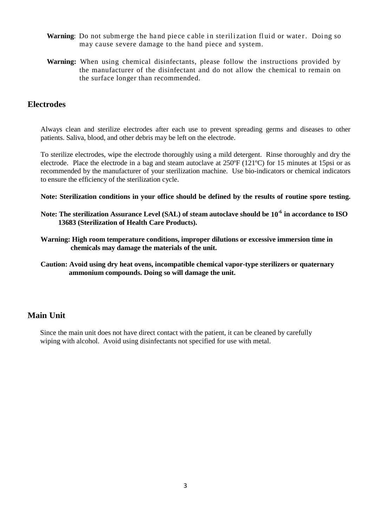- Warning: Do not submerge the hand piece cable in sterilization fluid or water. Doing so may cause severe damage to the hand piece and system.
- **Warning:** When using chemical disinfectants, please follow the instructions provided by the manufacturer of the disinfectant and do not allow the chemical to remain on the surface longer than recommended.

### **Electrodes**

Always clean and sterilize electrodes after each use to prevent spreading germs and diseases to other patients. Saliva, blood, and other debris may be left on the electrode.

To sterilize electrodes, wipe the electrode thoroughly using a mild detergent. Rinse thoroughly and dry the electrode. Place the electrode in a bag and steam autoclave at 250ºF (121ºC) for 15 minutes at 15psi or as recommended by the manufacturer of your sterilization machine. Use bio-indicators or chemical indicators to ensure the efficiency of the sterilization cycle.

**Note: Sterilization conditions in your office should be defined by the results of routine spore testing.** 

- **Note: The sterilization Assurance Level (SAL) of steam autoclave should be 10-6 in accordance to ISO 13683 (Sterilization of Health Care Products).**
- **Warning: High room temperature conditions, improper dilutions or excessive immersion time in chemicals may damage the materials of the unit.**
- **Caution: Avoid using dry heat ovens, incompatible chemical vapor-type sterilizers or quaternary ammonium compounds. Doing so will damage the unit.**

### **Main Unit**

Since the main unit does not have direct contact with the patient, it can be cleaned by carefully wiping with alcohol. Avoid using disinfectants not specified for use with metal.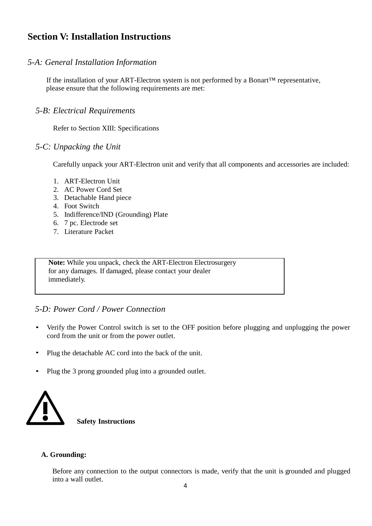## **Section V: Installation Instructions**

## *5-A: General Installation Information*

If the installation of your ART-Electron system is not performed by a Bonart™ representative, please ensure that the following requirements are met:

### *5-B: Electrical Requirements*

Refer to Section XIII: Specifications

### *5-C: Unpacking the Unit*

Carefully unpack your ART-Electron unit and verify that all components and accessories are included:

- 1. ART-Electron Unit
- 2. AC Power Cord Set
- 3. Detachable Hand piece
- 4. Foot Switch
- 5. Indifference/IND (Grounding) Plate
- 6. 7 pc. Electrode set
- 7. Literature Packet

**Note:** While you unpack, check the ART-Electron Electrosurgery for any damages. If damaged, please contact your dealer immediately.

### *5-D: Power Cord / Power Connection*

- Verify the Power Control switch is set to the OFF position before plugging and unplugging the power cord from the unit or from the power outlet.
- Plug the detachable AC cord into the back of the unit.
- Plug the 3 prong grounded plug into a grounded outlet.



#### **A. Grounding:**

Before any connection to the output connectors is made, verify that the unit is grounded and plugged into a wall outlet.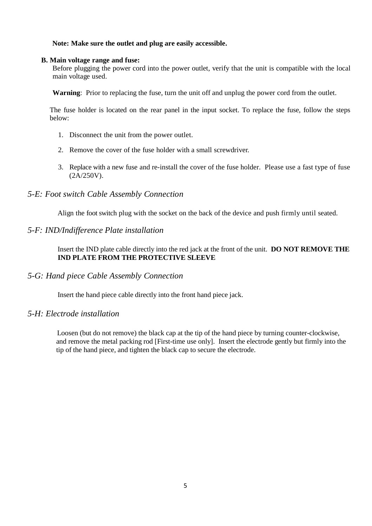#### **Note: Make sure the outlet and plug are easily accessible.**

#### **B. Main voltage range and fuse:**

Before plugging the power cord into the power outlet, verify that the unit is compatible with the local main voltage used.

**Warning**: Prior to replacing the fuse, turn the unit off and unplug the power cord from the outlet.

The fuse holder is located on the rear panel in the input socket. To replace the fuse, follow the steps below:

- 1. Disconnect the unit from the power outlet.
- 2. Remove the cover of the fuse holder with a small screwdriver.
- 3. Replace with a new fuse and re-install the cover of the fuse holder. Please use a fast type of fuse (2A/250V).

### *5-E: Foot switch Cable Assembly Connection*

Align the foot switch plug with the socket on the back of the device and push firmly until seated.

### *5-F: IND/Indifference Plate installation*

Insert the IND plate cable directly into the red jack at the front of the unit. **DO NOT REMOVE THE IND PLATE FROM THE PROTECTIVE SLEEVE**

#### *5-G: Hand piece Cable Assembly Connection*

Insert the hand piece cable directly into the front hand piece jack.

### *5-H: Electrode installation*

Loosen (but do not remove) the black cap at the tip of the hand piece by turning counter-clockwise, and remove the metal packing rod [First-time use only]. Insert the electrode gently but firmly into the tip of the hand piece, and tighten the black cap to secure the electrode.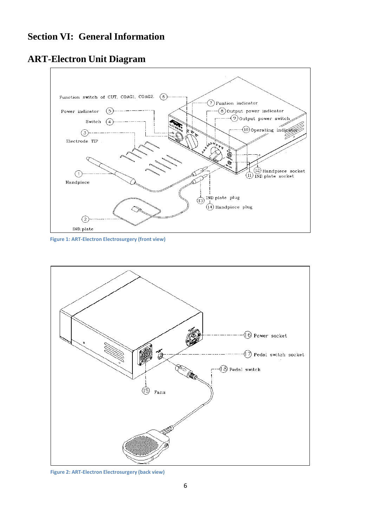## **Section VI: General Information**

## **ART-Electron Unit Diagram**



**Figure 1: ART-Electron Electrosurgery (front view)**



**Figure 2: ART-Electron Electrosurgery (back view)**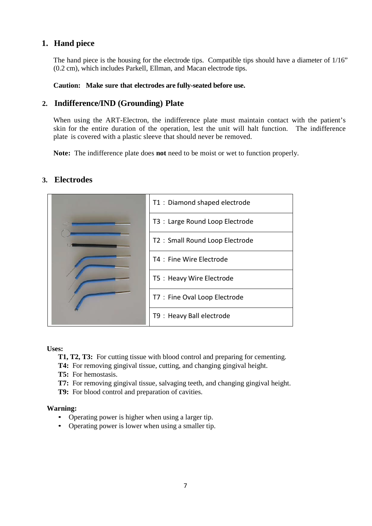## **1. Hand piece**

The hand piece is the housing for the electrode tips. Compatible tips should have a diameter of  $1/16$ " (0.2 cm), which includes Parkell, Ellman, and Macan electrode tips.

#### **Caution: Make sure that electrodes are fully-seated before use.**

## **2. Indifference/IND (Grounding) Plate**

When using the ART-Electron, the indifference plate must maintain contact with the patient's skin for the entire duration of the operation, lest the unit will halt function. The indifference plate is covered with a plastic sleeve that should never be removed.

**Note:** The indifference plate does **not** need to be moist or wet to function properly.

## **3. Electrodes**

|  | T1: Diamond shaped electrode    |  |  |
|--|---------------------------------|--|--|
|  | T3 : Large Round Loop Electrode |  |  |
|  | T2: Small Round Loop Electrode  |  |  |
|  | T4 : Fine Wire Electrode        |  |  |
|  | T5 : Heavy Wire Electrode       |  |  |
|  | T7 : Fine Oval Loop Electrode   |  |  |
|  | T9 : Heavy Ball electrode       |  |  |

**Uses:**

- **T1, T2, T3:** For cutting tissue with blood control and preparing for cementing.
- **T4:** For removing gingival tissue, cutting, and changing gingival height.
- **T5:** For hemostasis.
- **T7:** For removing gingival tissue, salvaging teeth, and changing gingival height.
- **T9:** For blood control and preparation of cavities.

#### **Warning:**

- Operating power is higher when using a larger tip.
- Operating power is lower when using a smaller tip.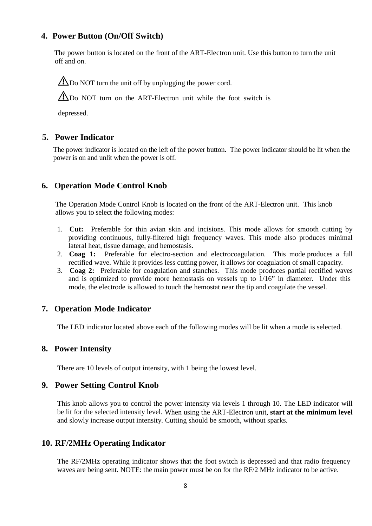### **4. Power Button (On/Off Switch)**

The power button is located on the front of the ART-Electron unit. Use this button to turn the unit off and on.

 $\triangle$ Do NOT turn the unit off by unplugging the power cord.

A Do NOT turn on the ART-Electron unit while the foot switch is

depressed.

### **5. Power Indicator**

The power indicator is located on the left of the power button. The power indicator should be lit when the power is on and unlit when the power is off.

#### **6. Operation Mode Control Knob**

The Operation Mode Control Knob is located on the front of the ART-Electron unit. This knob allows you to select the following modes:

- 1. **Cut:** Preferable for thin avian skin and incisions. This mode allows for smooth cutting by providing continuous, fully-filtered high frequency waves. This mode also produces minimal lateral heat, tissue damage, and hemostasis.
- 2. **Coag 1:** Preferable for electro-section and electrocoagulation. This mode produces a full rectified wave. While it provides less cutting power, it allows for coagulation of small capacity.
- 3. **Coag 2:** Preferable for coagulation and stanches. This mode produces partial rectified waves and is optimized to provide more hemostasis on vessels up to 1/16" in diameter. Under this mode, the electrode is allowed to touch the hemostat near the tip and coagulate the vessel.

#### **7. Operation Mode Indicator**

The LED indicator located above each of the following modes will be lit when a mode is selected.

#### **8. Power Intensity**

There are 10 levels of output intensity, with 1 being the lowest level.

#### **9. Power Setting Control Knob**

This knob allows you to control the power intensity via levels 1 through 10. The LED indicator will be lit for the selected intensity level. When using the ART-Electron unit, **start at the minimum level** and slowly increase output intensity. Cutting should be smooth, without sparks.

#### **10. RF/2MHz Operating Indicator**

The RF/2MHz operating indicator shows that the foot switch is depressed and that radio frequency waves are being sent. NOTE: the main power must be on for the RF/2 MHz indicator to be active.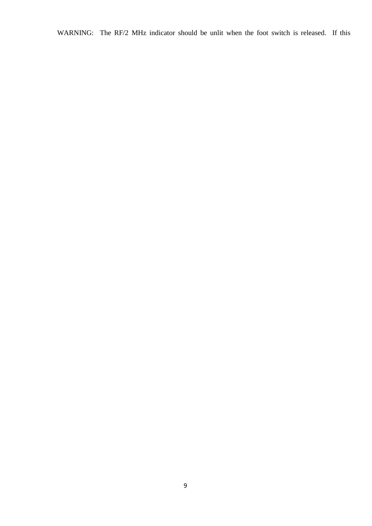WARNING: The RF/2 MHz indicator should be unlit when the foot switch is released. If this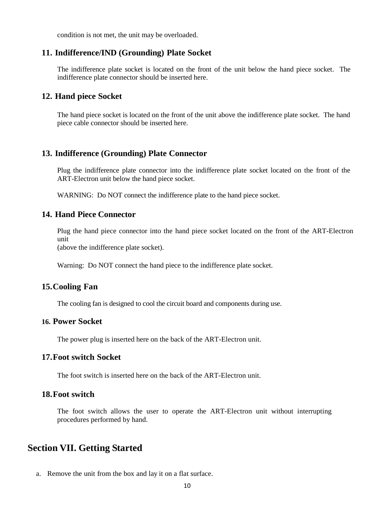condition is not met, the unit may be overloaded.

#### **11. Indifference/IND (Grounding) Plate Socket**

The indifference plate socket is located on the front of the unit below the hand piece socket. The indifference plate connector should be inserted here.

#### **12. Hand piece Socket**

The hand piece socket is located on the front of the unit above the indifference plate socket. The hand piece cable connector should be inserted here.

#### **13. Indifference (Grounding) Plate Connector**

Plug the indifference plate connector into the indifference plate socket located on the front of the ART-Electron unit below the hand piece socket.

WARNING: Do NOT connect the indifference plate to the hand piece socket.

## **14. Hand Piece Connector**

Plug the hand piece connector into the hand piece socket located on the front of the ART-Electron unit

(above the indifference plate socket).

Warning: Do NOT connect the hand piece to the indifference plate socket.

#### **15.Cooling Fan**

The cooling fan is designed to cool the circuit board and components during use.

#### **16. Power Socket**

The power plug is inserted here on the back of the ART-Electron unit.

### **17.Foot switch Socket**

The foot switch is inserted here on the back of the ART-Electron unit.

### **18.Foot switch**

The foot switch allows the user to operate the ART-Electron unit without interrupting procedures performed by hand.

## **Section VII. Getting Started**

a. Remove the unit from the box and lay it on a flat surface.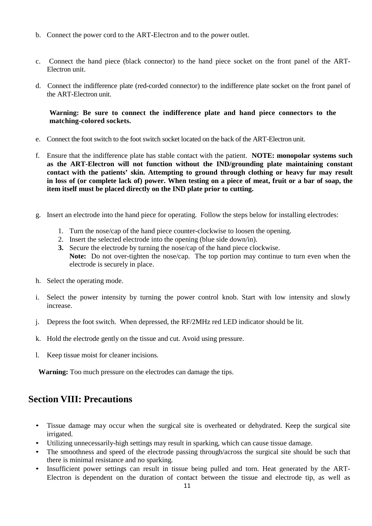- b. Connect the power cord to the ART-Electron and to the power outlet.
- c. Connect the hand piece (black connector) to the hand piece socket on the front panel of the ART-Electron unit.
- d. Connect the indifference plate (red-corded connector) to the indifference plate socket on the front panel of the ART-Electron unit.

#### **Warning: Be sure to connect the indifference plate and hand piece connectors to the matching-colored sockets.**

- e. Connect the foot switch to the foot switch socket located on the back of the ART-Electron unit.
- f. Ensure that the indifference plate has stable contact with the patient. **NOTE: monopolar systems such as the ART-Electron will not function without the IND/grounding plate maintaining constant contact with the patients' skin. Attempting to ground through clothing or heavy fur may result in loss of (or complete lack of) power. When testing on a piece of meat, fruit or a bar of soap, the item itself must be placed directly on the IND plate prior to cutting.**
- g. Insert an electrode into the hand piece for operating. Follow the steps below for installing electrodes:
	- 1. Turn the nose/cap of the hand piece counter-clockwise to loosen the opening.
	- 2. Insert the selected electrode into the opening (blue side down/in).
	- **3.** Secure the electrode by turning the nose/cap of the hand piece clockwise. **Note:** Do not over-tighten the nose/cap. The top portion may continue to turn even when the electrode is securely in place.
- h. Select the operating mode.
- i. Select the power intensity by turning the power control knob. Start with low intensity and slowly increase.
- j. Depress the foot switch. When depressed, the RF/2MHz red LED indicator should be lit.
- k. Hold the electrode gently on the tissue and cut. Avoid using pressure.
- l. Keep tissue moist for cleaner incisions.

**Warning:** Too much pressure on the electrodes can damage the tips.

## **Section VIII: Precautions**

- Tissue damage may occur when the surgical site is overheated or dehydrated. Keep the surgical site irrigated.
- Utilizing unnecessarily-high settings may result in sparking, which can cause tissue damage.
- The smoothness and speed of the electrode passing through/across the surgical site should be such that there is minimal resistance and no sparking.
- Insufficient power settings can result in tissue being pulled and torn. Heat generated by the ART-Electron is dependent on the duration of contact between the tissue and electrode tip, as well as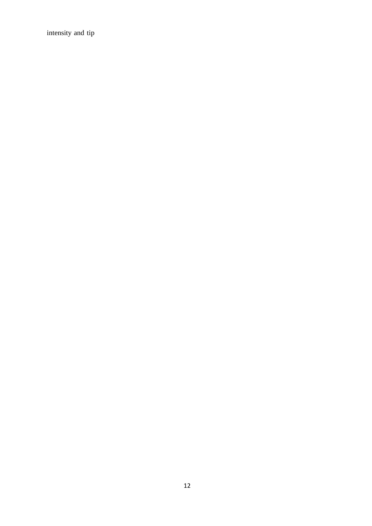intensity and tip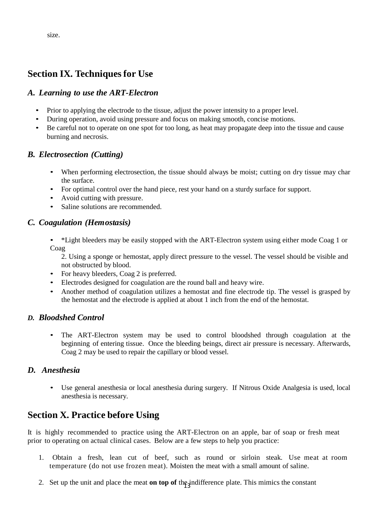size.

## **Section IX. Techniques for Use**

## *A. Learning to use the ART-Electron*

- Prior to applying the electrode to the tissue, adjust the power intensity to a proper level.
- During operation, avoid using pressure and focus on making smooth, concise motions.
- Be careful not to operate on one spot for too long, as heat may propagate deep into the tissue and cause burning and necrosis.

## *B. Electrosection (Cutting)*

- When performing electrosection, the tissue should always be moist; cutting on dry tissue may char the surface.
- For optimal control over the hand piece, rest your hand on a sturdy surface for support.
- Avoid cutting with pressure.
- Saline solutions are recommended.

## *C. Coagulation (Hemostasis)*

• \*Light bleeders may be easily stopped with the ART-Electron system using either mode Coag 1 or Coag

2. Using a sponge or hemostat, apply direct pressure to the vessel. The vessel should be visible and not obstructed by blood.

- For heavy bleeders, Coag 2 is preferred.
- Electrodes designed for coagulation are the round ball and heavy wire.
- Another method of coagulation utilizes a hemostat and fine electrode tip. The vessel is grasped by the hemostat and the electrode is applied at about 1 inch from the end of the hemostat.

## *D. Bloodshed Control*

The ART-Electron system may be used to control bloodshed through coagulation at the beginning of entering tissue. Once the bleeding beings, direct air pressure is necessary. Afterwards, Coag 2 may be used to repair the capillary or blood vessel.

## *D. Anesthesia*

• Use general anesthesia or local anesthesia during surgery. If Nitrous Oxide Analgesia is used, local anesthesia is necessary.

## **Section X. Practice before Using**

It is highly recommended to practice using the ART-Electron on an apple, bar of soap or fresh meat prior to operating on actual clinical cases. Below are a few steps to help you practice:

- 1. Obtain a fresh, lean cut of beef, such as round or sirloin steak. Use meat at room temperature (do not use frozen meat). Moisten the meat with a small amount of saline.
- 2. Set up the unit and place the meat **on top of** the indifference plate. This mimics the constant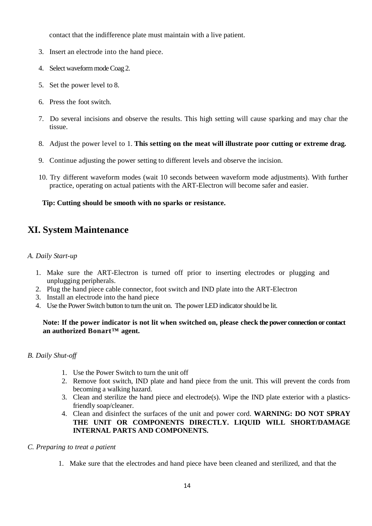contact that the indifference plate must maintain with a live patient.

- 3. Insert an electrode into the hand piece.
- 4. Select waveform mode Coag 2.
- 5. Set the power level to 8.
- 6. Press the foot switch.
- 7. Do several incisions and observe the results. This high setting will cause sparking and may char the tissue.
- 8. Adjust the power level to 1. **This setting on the meat will illustrate poor cutting or extreme drag.**
- 9. Continue adjusting the power setting to different levels and observe the incision.
- 10. Try different waveform modes (wait 10 seconds between waveform mode adjustments). With further practice, operating on actual patients with the ART-Electron will become safer and easier.

#### **Tip: Cutting should be smooth with no sparks or resistance.**

## **XI. System Maintenance**

#### *A. Daily Start-up*

- 1. Make sure the ART-Electron is turned off prior to inserting electrodes or plugging and unplugging peripherals.
- 2. Plug the hand piece cable connector, foot switch and IND plate into the ART-Electron
- 3. Install an electrode into the hand piece
- 4. Use the Power Switch button to turn the unit on. The power LED indicatorshould be lit.

#### Note: If the power indicator is not lit when switched on, please check the power connection or contact **an authorized Bonart™ agent.**

#### *B. Daily Shut-off*

- 1. Use the Power Switch to turn the unit off
- 2. Remove foot switch, IND plate and hand piece from the unit. This will prevent the cords from becoming a walking hazard.
- 3. Clean and sterilize the hand piece and electrode(s). Wipe the IND plate exterior with a plasticsfriendly soap/cleaner.
- 4. Clean and disinfect the surfaces of the unit and power cord. **WARNING: DO NOT SPRAY THE UNIT OR COMPONENTS DIRECTLY. LIQUID WILL SHORT/DAMAGE INTERNAL PARTS AND COMPONENTS.**
- *C. Preparing to treat a patient*
	- 1. Make sure that the electrodes and hand piece have been cleaned and sterilized, and that the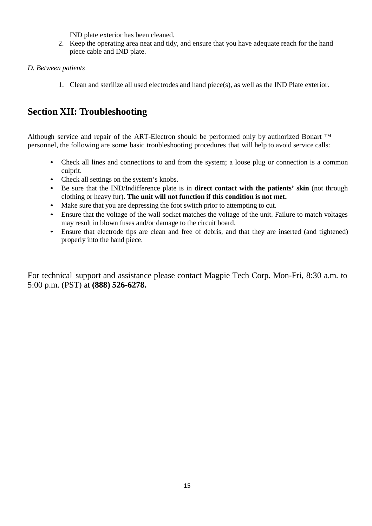IND plate exterior has been cleaned.

- 2. Keep the operating area neat and tidy, and ensure that you have adequate reach for the hand piece cable and IND plate.
- *D. Between patients*
	- 1. Clean and sterilize all used electrodes and hand piece(s), as well as the IND Plate exterior.

## **Section XII: Troubleshooting**

Although service and repair of the ART-Electron should be performed only by authorized Bonart ™ personnel, the following are some basic troubleshooting procedures that will help to avoid service calls:

- Check all lines and connections to and from the system; a loose plug or connection is a common culprit.
- Check all settings on the system's knobs.
- Be sure that the IND/Indifference plate is in **direct contact with the patients' skin** (not through clothing or heavy fur). **The unit will not function if this condition is not met.**
- Make sure that you are depressing the foot switch prior to attempting to cut.
- Ensure that the voltage of the wall socket matches the voltage of the unit. Failure to match voltages may result in blown fuses and/or damage to the circuit board.
- Ensure that electrode tips are clean and free of debris, and that they are inserted (and tightened) properly into the hand piece.

For technical support and assistance please contact Magpie Tech Corp. Mon-Fri, 8:30 a.m. to 5:00 p.m. (PST) at **(888) 526-6278.**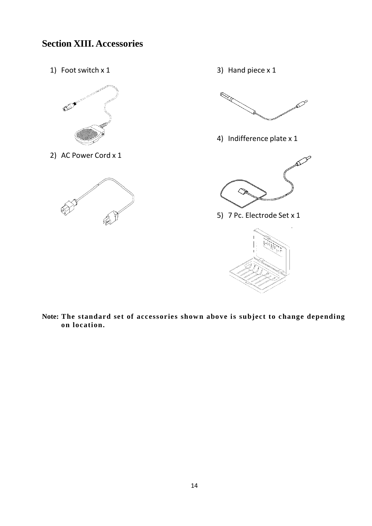## **Section XIII. Accessories**

1) Foot switch x 1



2) AC Power Cord x 1



3) Hand piece x 1



4) Indifference plate x 1



5) 7 Pc. Electrode Set x 1



**Note: The standard set of accessories shown above is subject to change depending on location.**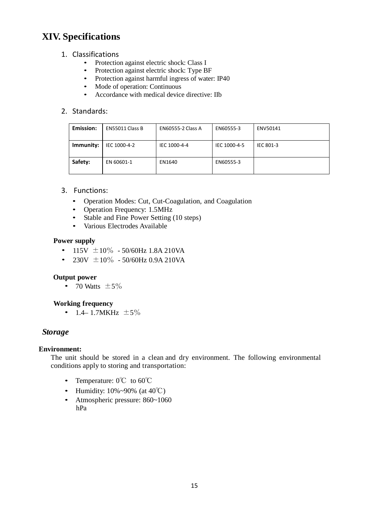## **XIV. Specifications**

### 1. Classifications

- Protection against electric shock: Class I
- Protection against electric shock: Type BF
- Protection against harmful ingress of water: IP40
- Mode of operation: Continuous
- Accordance with medical device directive: IIb

### 2. Standards:

| Emission: | EN55011 Class B | <b>EN60555-2 Class A</b> | EN60555-3    | ENV50141  |
|-----------|-----------------|--------------------------|--------------|-----------|
| Immunity: | IEC 1000-4-2    | IEC 1000-4-4             | IEC 1000-4-5 | IEC 801-3 |
| Safety:   | EN 60601-1      | EN1640                   | EN60555-3    |           |

### 3. Functions:

- Operation Modes: Cut, Cut-Coagulation, and Coagulation
- Operation Frequency: 1.5MHz
- Stable and Fine Power Setting (10 steps)
- Various Electrodes Available

#### **Power supply**

- 115V  $\pm 10\%$  50/60Hz 1.8A 210VA
- 230V  $\pm 10\%$  50/60Hz 0.9A 210VA

#### **Output power**

• 70 Watts  $\pm 5\%$ 

### **Working frequency**

• 1.4–1.7MKHz  $\pm 5\%$ 

## *Storage*

### **Environment:**

The unit should be stored in a clean and dry environment. The following environmental conditions apply to storing and transportation:

- Temperature: 0℃ to 60℃
- Humidity:  $10\% \sim 90\%$  (at  $40^{\circ}$ C)
- Atmospheric pressure: 860~1060 hPa